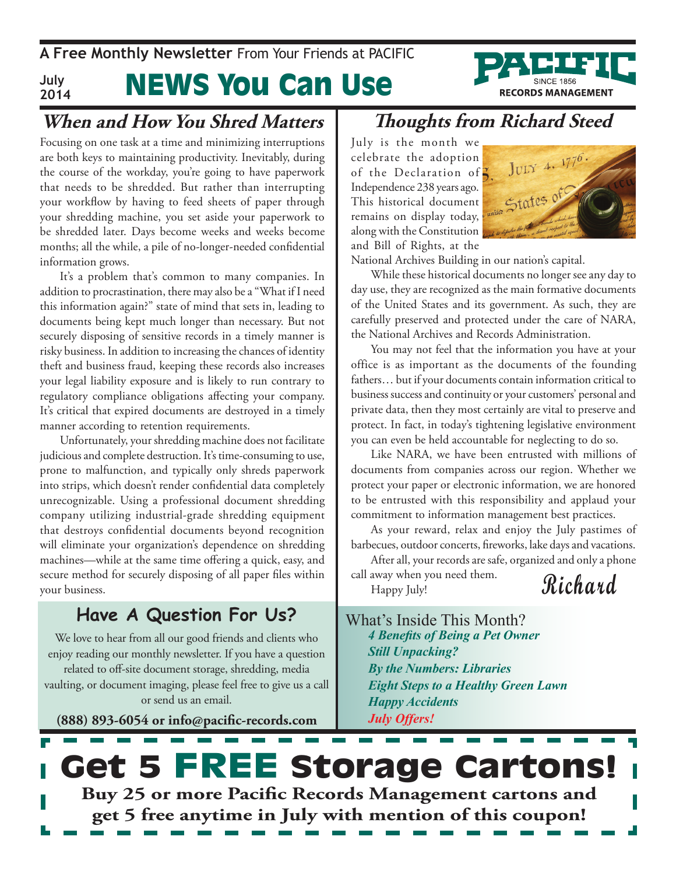News You Can Use **A Free Monthly Newsletter** From Your Friends at Pacific **July**



**2014**

Focusing on one task at a time and minimizing interruptions are both keys to maintaining productivity. Inevitably, during the course of the workday, you're going to have paperwork that needs to be shredded. But rather than interrupting your workflow by having to feed sheets of paper through your shredding machine, you set aside your paperwork to be shredded later. Days become weeks and weeks become months; all the while, a pile of no-longer-needed confidential information grows.

It's a problem that's common to many companies. In addition to procrastination, there may also be a "What if I need this information again?" state of mind that sets in, leading to documents being kept much longer than necessary. But not securely disposing of sensitive records in a timely manner is risky business. In addition to increasing the chances of identity theft and business fraud, keeping these records also increases your legal liability exposure and is likely to run contrary to regulatory compliance obligations affecting your company. It's critical that expired documents are destroyed in a timely manner according to retention requirements.

Unfortunately, your shredding machine does not facilitate judicious and complete destruction. It's time-consuming to use, prone to malfunction, and typically only shreds paperwork into strips, which doesn't render confidential data completely unrecognizable. Using a professional document shredding company utilizing industrial-grade shredding equipment that destroys confidential documents beyond recognition will eliminate your organization's dependence on shredding machines—while at the same time offering a quick, easy, and secure method for securely disposing of all paper files within your business.

### **Have A Question For Us?**

We love to hear from all our good friends and clients who enjoy reading our monthly newsletter. If you have a question related to off-site document storage, shredding, media vaulting, or document imaging, please feel free to give us a call or send us an email.

**(888) 893-6054 or info@pacific-records.com**

### **Thoughts from Richard Steed**

July is the month we celebrate the adoption of the Declaration of  $\zeta$ Independence 238 years ago. This historical document remains on display today, along with the Constitution and Bill of Rights, at the



**RECORDS MANAGEMENT** 

National Archives Building in our nation's capital.

While these historical documents no longer see any day to day use, they are recognized as the main formative documents of the United States and its government. As such, they are carefully preserved and protected under the care of NARA, the National Archives and Records Administration.

You may not feel that the information you have at your office is as important as the documents of the founding fathers… but if your documents contain information critical to business success and continuity or your customers' personal and private data, then they most certainly are vital to preserve and protect. In fact, in today's tightening legislative environment you can even be held accountable for neglecting to do so.

Like NARA, we have been entrusted with millions of documents from companies across our region. Whether we protect your paper or electronic information, we are honored to be entrusted with this responsibility and applaud your commitment to information management best practices.

As your reward, relax and enjoy the July pastimes of barbecues, outdoor concerts, fireworks, lake days and vacations.

After all, your records are safe, organized and only a phone

call away when you need them. Happy July!

**Richard**

What's Inside This Month? *4 Benefits of Being a Pet Owner Still Unpacking? By the Numbers: Libraries Eight Steps to a Healthy Green Lawn Happy Accidents July Offers!*

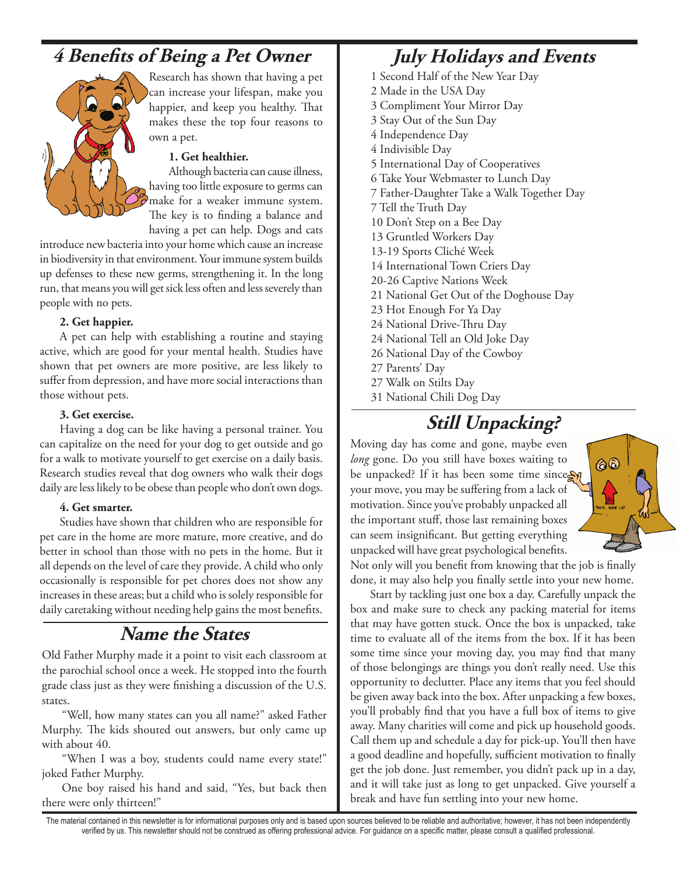## **4 Benefits of Being a Pet Owner**



Research has shown that having a pet can increase your lifespan, make you happier, and keep you healthy. That makes these the top four reasons to own a pet.

### **1. Get healthier.**

Although bacteria can cause illness, having too little exposure to germs can make for a weaker immune system. The key is to finding a balance and having a pet can help. Dogs and cats

introduce new bacteria into your home which cause an increase in biodiversity in that environment. Your immune system builds up defenses to these new germs, strengthening it. In the long run, that means you will get sick less often and less severely than people with no pets.

### **2. Get happier.**

A pet can help with establishing a routine and staying active, which are good for your mental health. Studies have shown that pet owners are more positive, are less likely to suffer from depression, and have more social interactions than those without pets.

#### **3. Get exercise.**

Having a dog can be like having a personal trainer. You can capitalize on the need for your dog to get outside and go for a walk to motivate yourself to get exercise on a daily basis. Research studies reveal that dog owners who walk their dogs daily are less likely to be obese than people who don't own dogs.

### **4. Get smarter.**

Studies have shown that children who are responsible for pet care in the home are more mature, more creative, and do better in school than those with no pets in the home. But it all depends on the level of care they provide. A child who only occasionally is responsible for pet chores does not show any increases in these areas; but a child who is solely responsible for daily caretaking without needing help gains the most benefits.

### **Name the States**

Old Father Murphy made it a point to visit each classroom at the parochial school once a week. He stopped into the fourth grade class just as they were finishing a discussion of the U.S. states.

"Well, how many states can you all name?" asked Father Murphy. The kids shouted out answers, but only came up with about 40.

"When I was a boy, students could name every state!" joked Father Murphy.

One boy raised his hand and said, "Yes, but back then there were only thirteen!"

### **July Holidays and Events**

- 1 Second Half of the New Year Day
- 2 Made in the USA Day
- 3 Compliment Your Mirror Day
- 3 Stay Out of the Sun Day
- 4 Independence Day
- 4 Indivisible Day
- 5 International Day of Cooperatives
- 6 Take Your Webmaster to Lunch Day
- 7 Father-Daughter Take a Walk Together Day
- 7 Tell the Truth Day
- 10 Don't Step on a Bee Day
- 13 Gruntled Workers Day
- 13-19 Sports Cliché Week
- 14 International Town Criers Day
- 20-26 Captive Nations Week
- 21 National Get Out of the Doghouse Day
- 23 Hot Enough For Ya Day
- 24 National Drive-Thru Day
- 24 National Tell an Old Joke Day
- 26 National Day of the Cowboy
- 27 Parents' Day
- 27 Walk on Stilts Day
- 31 National Chili Dog Day

# **Still Unpacking?**

Moving day has come and gone, maybe even *long* gone. Do you still have boxes waiting to be unpacked? If it has been some time sincess your move, you may be suffering from a lack of motivation. Since you've probably unpacked all the important stuff, those last remaining boxes can seem insignificant. But getting everything unpacked will have great psychological benefits.



Not only will you benefit from knowing that the job is finally done, it may also help you finally settle into your new home.

Start by tackling just one box a day. Carefully unpack the box and make sure to check any packing material for items that may have gotten stuck. Once the box is unpacked, take time to evaluate all of the items from the box. If it has been some time since your moving day, you may find that many of those belongings are things you don't really need. Use this opportunity to declutter. Place any items that you feel should be given away back into the box. After unpacking a few boxes, you'll probably find that you have a full box of items to give away. Many charities will come and pick up household goods. Call them up and schedule a day for pick-up. You'll then have a good deadline and hopefully, sufficient motivation to finally get the job done. Just remember, you didn't pack up in a day, and it will take just as long to get unpacked. Give yourself a break and have fun settling into your new home.

The material contained in this newsletter is for informational purposes only and is based upon sources believed to be reliable and authoritative; however, it has not been independently verified by us. This newsletter should not be construed as offering professional advice. For guidance on a specific matter, please consult a qualified professional.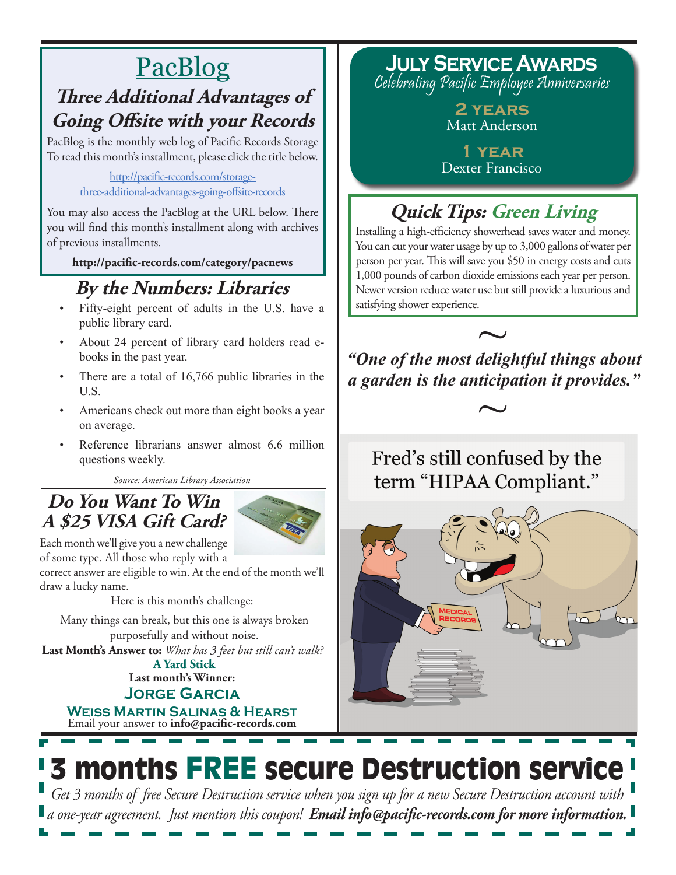# PacBlog

## **Three Additional Advantages of Going Offsite with your Records**

PacBlog is the monthly web log of Pacific Records Storage To read this month's installment, please click the title below.

> [http://pacific-records.com/storage](http://pacific-records.com/storage-three-additional-advantages-going-offsite-records)[three-additional-advantages-going-offsite-records](http://pacific-records.com/storage-three-additional-advantages-going-offsite-records)

You may also access the PacBlog at the URL below. There you will find this month's installment along with archives of previous installments.

**http://pacific-records.com/category/pacnews**

# **By the Numbers: Libraries**

- Fifty-eight percent of adults in the U.S. have a public library card.
- About 24 percent of library card holders read ebooks in the past year.
- There are a total of  $16,766$  public libraries in the U.S.
- Americans check out more than eight books a year on average.
- Reference librarians answer almost 6.6 million questions weekly.

*Source: American Library Association*

### **Do You Want To Win A \$25 VISA Gift Card?**



Each month we'll give you a new challenge of some type. All those who reply with a

correct answer are eligible to win. At the end of the month we'll draw a lucky name.

Here is this month's challenge:

Many things can break, but this one is always broken purposefully and without noise.

**Last Month's Answer to:** *What has 3 feet but still can't walk?* **A Yard Stick**

**Last month's Winner: Jorge Garcia**

Email your answer to **info@pacific-records.com Weiss Martin Salinas & Hearst**

**July Service Awards** Celebrating Pacific Employee Anniversaries

> **2 years** Matt Anderson

**1 year** Dexter Francisco

# **Quick Tips: Green Living**

Installing a high-efficiency showerhead saves water and money. You can cut your water usage by up to 3,000 gallons of water per person per year. This will save you \$50 in energy costs and cuts 1,000 pounds of carbon dioxide emissions each year per person. Newer version reduce water use but still provide a luxurious and satisfying shower experience.

*"One of the most delightful things about*  ~ *a garden is the anticipation it provides."*   $~\sim~$ 

Fred's still confused by the term "HIPAA Compliant."

# 3 months FREE secure Destruction service

*Get 3 months of free Secure Destruction service when you sign up for a new Secure Destruction account with a one-year agreement. Just mention this coupon! Email info@pacific-records.com for more information.*